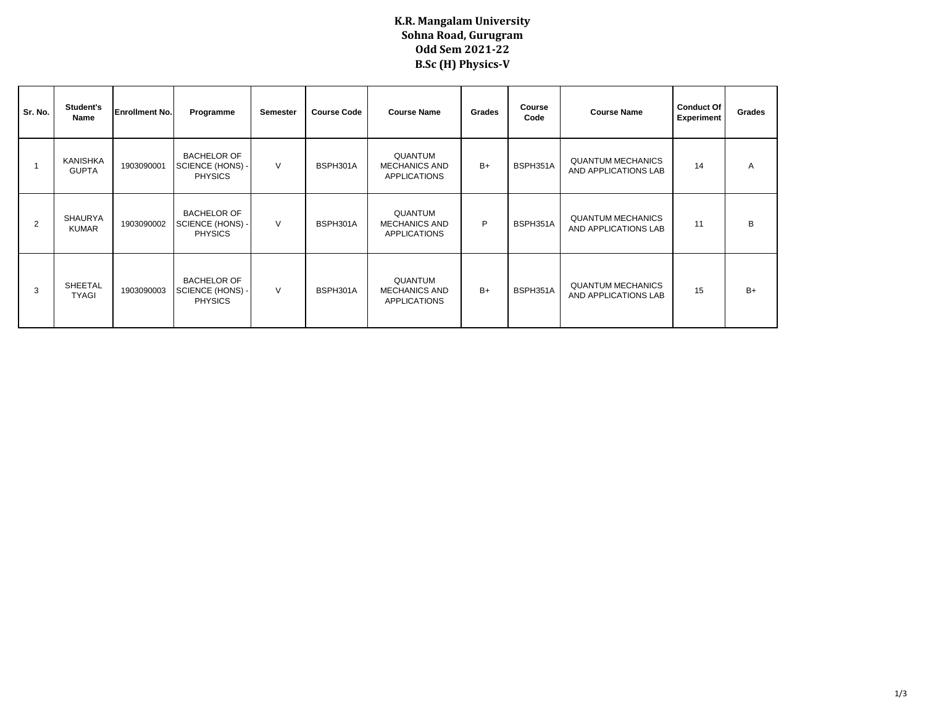## **K.R. Mangalam University Sohna Road, Gurugram Odd Sem 2021-22 B.Sc (H) Physics-V**

| Sr. No.        | Student's<br>Name              | <b>Enrollment No.</b> | Programme                                                | <b>Semester</b> | <b>Course Code</b> | <b>Course Name</b>                                     | Grades | Course<br>Code | <b>Course Name</b>                               | <b>Conduct Of</b><br><b>Experiment</b> | Grades |
|----------------|--------------------------------|-----------------------|----------------------------------------------------------|-----------------|--------------------|--------------------------------------------------------|--------|----------------|--------------------------------------------------|----------------------------------------|--------|
|                | KANISHKA<br><b>GUPTA</b>       | 1903090001            | <b>BACHELOR OF</b><br>SCIENCE (HONS) -<br><b>PHYSICS</b> | $\vee$          | BSPH301A           | QUANTUM<br><b>MECHANICS AND</b><br><b>APPLICATIONS</b> | $B+$   | BSPH351A       | <b>QUANTUM MECHANICS</b><br>AND APPLICATIONS LAB | 14                                     | A      |
| $\overline{2}$ | <b>SHAURYA</b><br><b>KUMAR</b> | 1903090002            | <b>BACHELOR OF</b><br>SCIENCE (HONS) -<br><b>PHYSICS</b> | $\vee$          | BSPH301A           | QUANTUM<br><b>MECHANICS AND</b><br><b>APPLICATIONS</b> | P      | BSPH351A       | <b>QUANTUM MECHANICS</b><br>AND APPLICATIONS LAB | 11                                     | В      |
| 3              | SHEETAL<br><b>TYAGI</b>        | 1903090003            | <b>BACHELOR OF</b><br>SCIENCE (HONS) -<br><b>PHYSICS</b> | $\vee$          | BSPH301A           | QUANTUM<br><b>MECHANICS AND</b><br><b>APPLICATIONS</b> | $B+$   | BSPH351A       | <b>QUANTUM MECHANICS</b><br>AND APPLICATIONS LAB | 15                                     | $B+$   |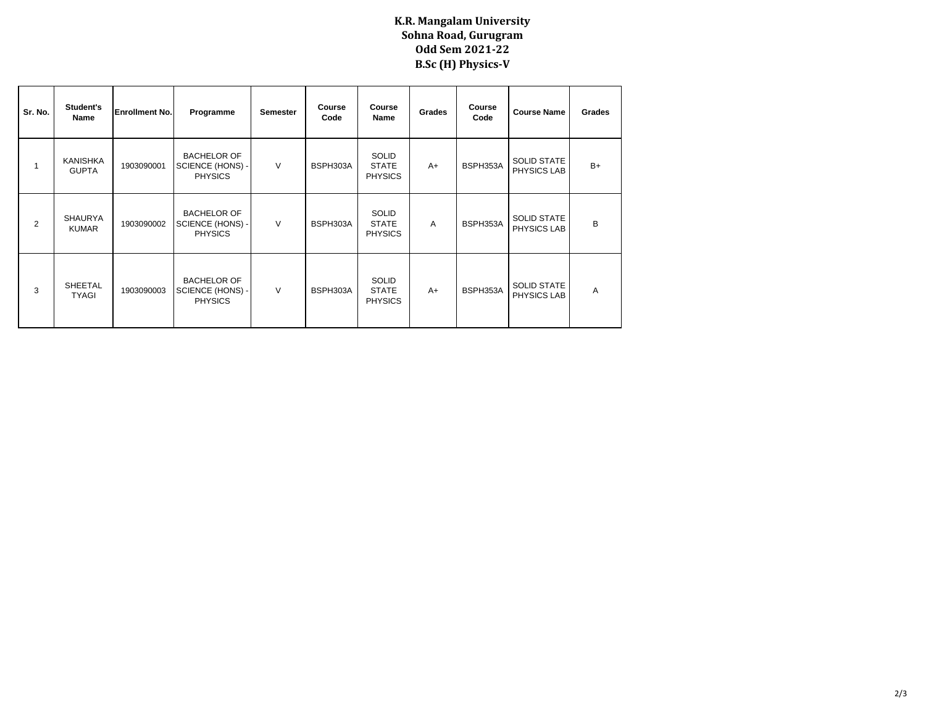## **K.R. Mangalam University Sohna Road, Gurugram Odd Sem 2021-22 B.Sc (H) Physics-V**

| Sr. No. | Student's<br>Name              | <b>Enrollment No.</b> | Programme                                                | <b>Semester</b> | Course<br>Code | Course<br>Name                                 | Grades         | Course<br>Code | <b>Course Name</b>                       | Grades |
|---------|--------------------------------|-----------------------|----------------------------------------------------------|-----------------|----------------|------------------------------------------------|----------------|----------------|------------------------------------------|--------|
|         | KANISHKA<br><b>GUPTA</b>       | 1903090001            | <b>BACHELOR OF</b><br>SCIENCE (HONS) -<br><b>PHYSICS</b> | V               | BSPH303A       | <b>SOLID</b><br><b>STATE</b><br><b>PHYSICS</b> | $A+$           | BSPH353A       | <b>SOLID STATE</b><br>PHYSICS LAB        | $B+$   |
| 2       | <b>SHAURYA</b><br><b>KUMAR</b> | 1903090002            | <b>BACHELOR OF</b><br>SCIENCE (HONS) -<br><b>PHYSICS</b> | $\vee$          | BSPH303A       | <b>SOLID</b><br><b>STATE</b><br><b>PHYSICS</b> | $\overline{A}$ | BSPH353A       | <b>SOLID STATE</b><br>PHYSICS LAB        | B      |
| 3       | <b>SHEETAL</b><br><b>TYAGI</b> | 1903090003            | <b>BACHELOR OF</b><br>SCIENCE (HONS) -<br><b>PHYSICS</b> | V               | BSPH303A       | <b>SOLID</b><br><b>STATE</b><br><b>PHYSICS</b> | $A+$           | BSPH353A       | <b>SOLID STATE</b><br><b>PHYSICS LAB</b> | A      |